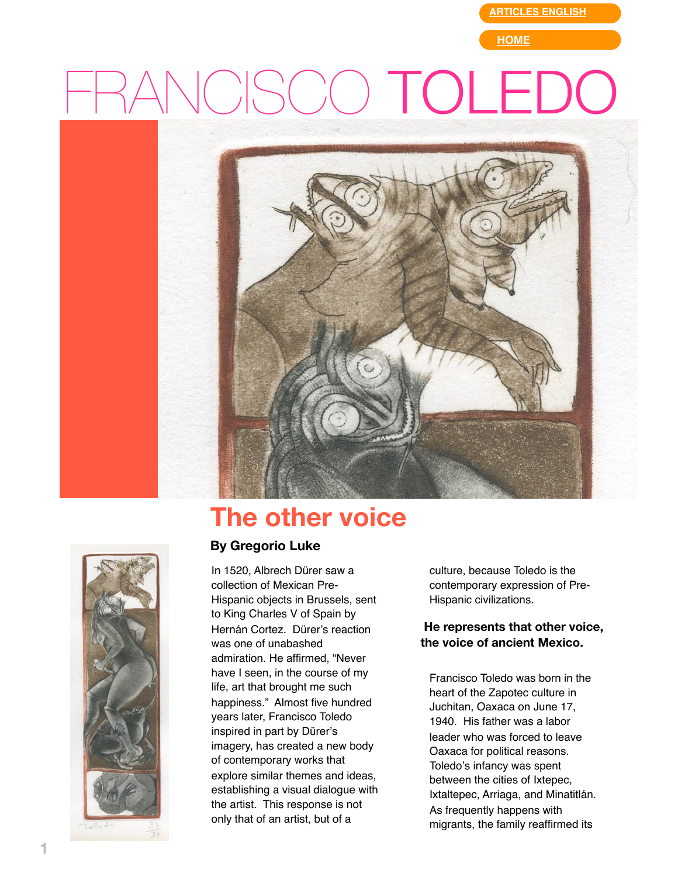**[ARTICLES ENGLISH](http://web.mac.com/gregorioluke/Site/Articles_in_English.html)**

**[HOME](http://web.mac.com/gregorioluke/Site/Home.html)**

# NCISCO TOLEDC



## **The other voice**



#### **By Gregorio Luke**

In 1520, Albrech Dürer saw a collection of Mexican Pre-Hispanic objects in Brussels, sent to King Charles V of Spain by Hernán Cortez. Dürer's reaction was one of unabashed admiration. He affirmed, "Never have I seen, in the course of my life, art that brought me such happiness." Almost five hundred years later, Francisco Toledo inspired in part by Dürer's imagery, has created a new body of contemporary works that explore similar themes and ideas, establishing a visual dialogue with the artist. This response is not only that of an artist, but of a

culture, because Toledo is the contemporary expression of Pre-Hispanic civilizations.

#### **He represents that other voice, the voice of ancient Mexico.**

Francisco Toledo was born in the heart of the Zapotec culture in Juchitan, Oaxaca on June 17, 1940. His father was a labor leader who was forced to leave Oaxaca for political reasons. Toledo's infancy was spent between the cities of Ixtepec, Ixtaltepec, Arriaga, and Minatitlán. As frequently happens with migrants, the family reaffirmed its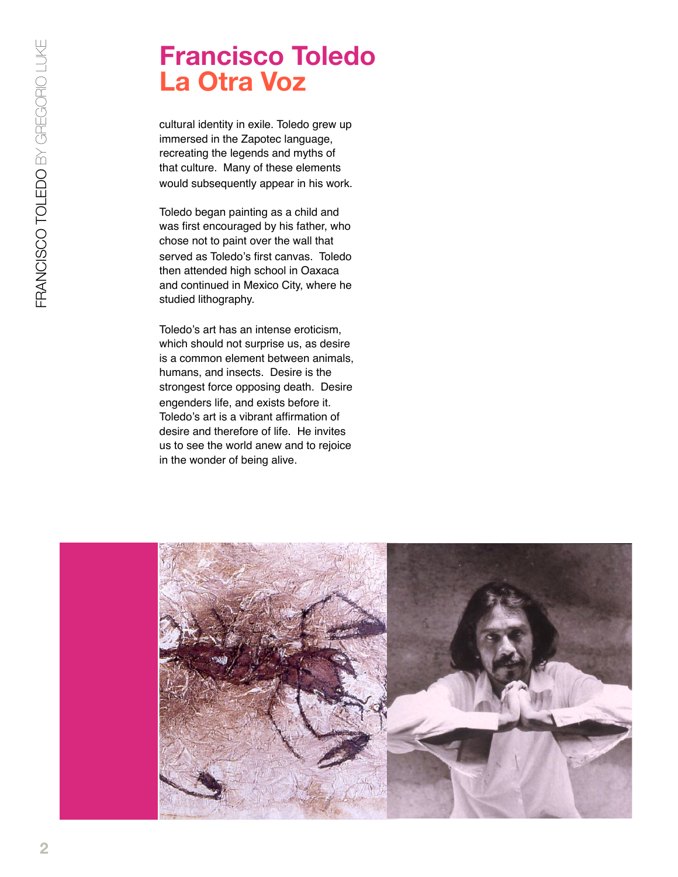## **Francisco Toledo La Otra Voz**

cultural identity in exile. Toledo grew up immersed in the Zapotec language, recreating the legends and myths of that culture. Many of these elements would subsequently appear in his work.

Toledo began painting as a child and was first encouraged by his father, who chose not to paint over the wall that served as Toledo's first canvas. Toledo then attended high school in Oaxaca and continued in Mexico City, where he studied lithography.

Toledo's art has an intense eroticism, which should not surprise us, as desire is a common element between animals, humans, and insects. Desire is the strongest force opposing death. Desire engenders life, and exists before it. Toledo's art is a vibrant affirmation of desire and therefore of life. He invites us to see the world anew and to rejoice in the wonder of being alive.